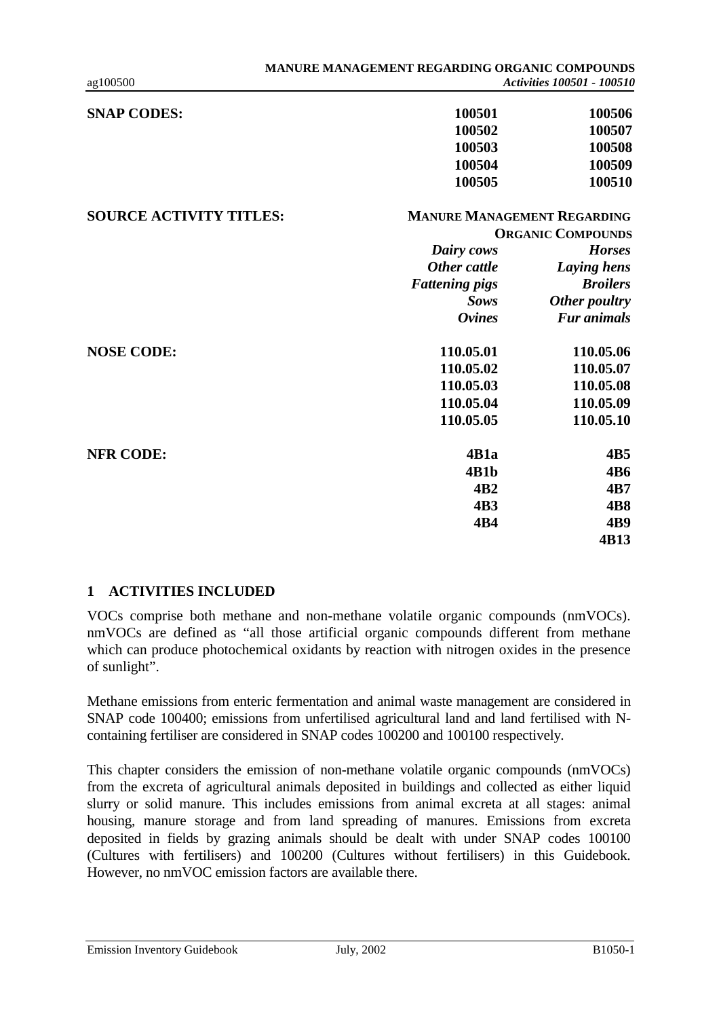| <b>SNAP CODES:</b>             | 100501                             | 100506             |
|--------------------------------|------------------------------------|--------------------|
|                                | 100502                             | 100507             |
|                                | 100503                             | 100508             |
|                                | 100504                             | 100509             |
|                                | 100505                             | 100510             |
| <b>SOURCE ACTIVITY TITLES:</b> | <b>MANURE MANAGEMENT REGARDING</b> |                    |
|                                | <b>ORGANIC COMPOUNDS</b>           |                    |
|                                | Dairy cows                         | <b>Horses</b>      |
|                                | Other cattle                       | Laying hens        |
|                                | <b>Fattening pigs</b>              | <b>Broilers</b>    |
|                                | <b>Sows</b>                        | Other poultry      |
|                                | <b>Ovines</b>                      | <b>Fur animals</b> |
| <b>NOSE CODE:</b>              | 110.05.01                          | 110.05.06          |
|                                | 110.05.02                          | 110.05.07          |
|                                | 110.05.03                          | 110.05.08          |
|                                | 110.05.04                          | 110.05.09          |
|                                | 110.05.05                          | 110.05.10          |
| <b>NFR CODE:</b>               | 4B1a                               | 4B5                |
|                                | 4B1b                               | <b>4B6</b>         |
|                                | 4B2                                | 4B7                |
|                                | 4B3                                | 4B8                |
|                                | 4B4                                | 4B9                |
|                                |                                    | 4B13               |

# **1 ACTIVITIES INCLUDED**

VOCs comprise both methane and non-methane volatile organic compounds (nmVOCs). nmVOCs are defined as "all those artificial organic compounds different from methane which can produce photochemical oxidants by reaction with nitrogen oxides in the presence of sunlight".

Methane emissions from enteric fermentation and animal waste management are considered in SNAP code 100400; emissions from unfertilised agricultural land and land fertilised with Ncontaining fertiliser are considered in SNAP codes 100200 and 100100 respectively.

This chapter considers the emission of non-methane volatile organic compounds (nmVOCs) from the excreta of agricultural animals deposited in buildings and collected as either liquid slurry or solid manure. This includes emissions from animal excreta at all stages: animal housing, manure storage and from land spreading of manures. Emissions from excreta deposited in fields by grazing animals should be dealt with under SNAP codes 100100 (Cultures with fertilisers) and 100200 (Cultures without fertilisers) in this Guidebook. However, no nmVOC emission factors are available there.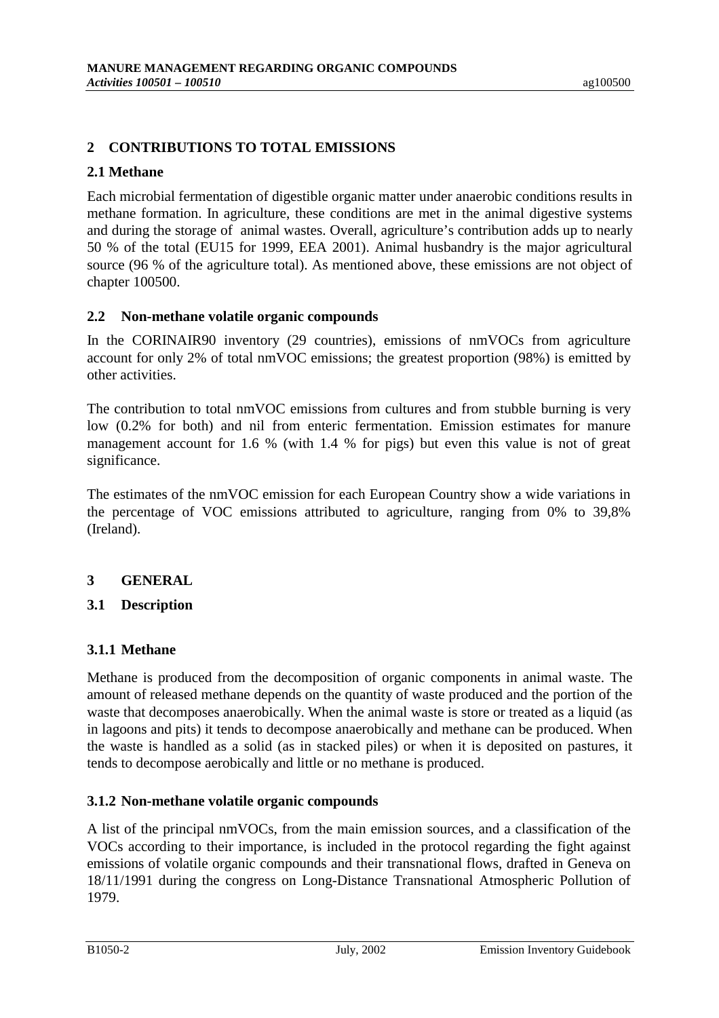# **2 CONTRIBUTIONS TO TOTAL EMISSIONS**

#### **2.1 Methane**

Each microbial fermentation of digestible organic matter under anaerobic conditions results in methane formation. In agriculture, these conditions are met in the animal digestive systems and during the storage of animal wastes. Overall, agriculture's contribution adds up to nearly 50 % of the total (EU15 for 1999, EEA 2001). Animal husbandry is the major agricultural source (96 % of the agriculture total). As mentioned above, these emissions are not object of chapter 100500.

#### **2.2 Non-methane volatile organic compounds**

In the CORINAIR90 inventory (29 countries), emissions of nmVOCs from agriculture account for only 2% of total nmVOC emissions; the greatest proportion (98%) is emitted by other activities.

The contribution to total nmVOC emissions from cultures and from stubble burning is very low (0.2% for both) and nil from enteric fermentation. Emission estimates for manure management account for 1.6 % (with 1.4 % for pigs) but even this value is not of great significance.

The estimates of the nmVOC emission for each European Country show a wide variations in the percentage of VOC emissions attributed to agriculture, ranging from 0% to 39,8% (Ireland).

# **3 GENERAL**

# **3.1 Description**

# **3.1.1 Methane**

Methane is produced from the decomposition of organic components in animal waste. The amount of released methane depends on the quantity of waste produced and the portion of the waste that decomposes anaerobically. When the animal waste is store or treated as a liquid (as in lagoons and pits) it tends to decompose anaerobically and methane can be produced. When the waste is handled as a solid (as in stacked piles) or when it is deposited on pastures, it tends to decompose aerobically and little or no methane is produced.

# **3.1.2 Non-methane volatile organic compounds**

A list of the principal nmVOCs, from the main emission sources, and a classification of the VOCs according to their importance, is included in the protocol regarding the fight against emissions of volatile organic compounds and their transnational flows, drafted in Geneva on 18/11/1991 during the congress on Long-Distance Transnational Atmospheric Pollution of 1979.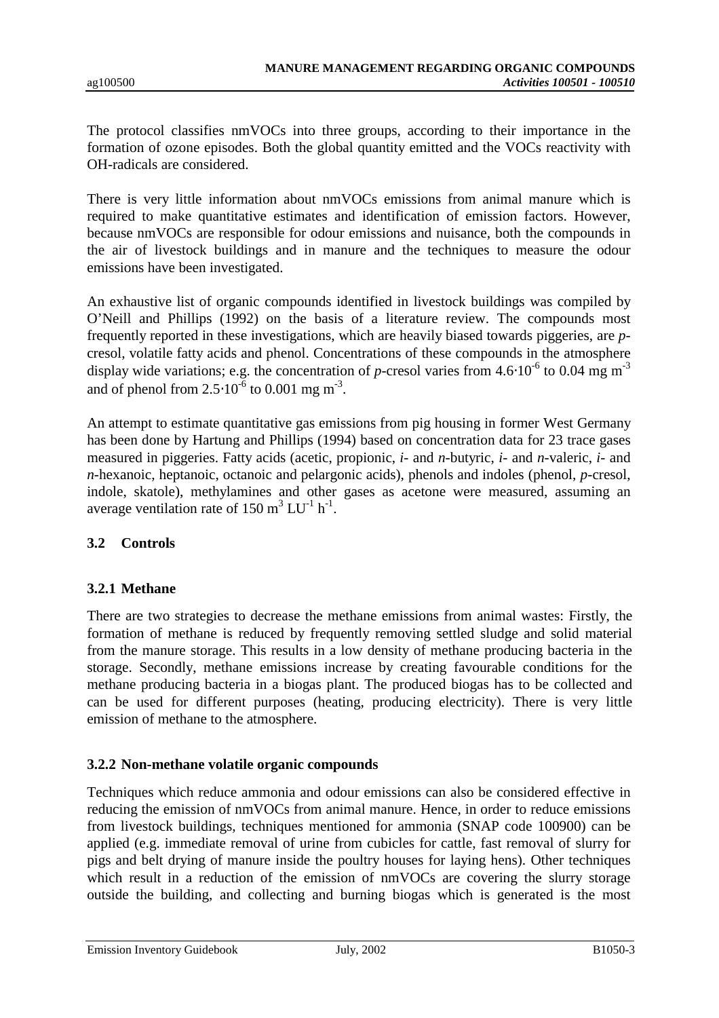The protocol classifies nmVOCs into three groups, according to their importance in the formation of ozone episodes. Both the global quantity emitted and the VOCs reactivity with OH-radicals are considered.

There is very little information about nmVOCs emissions from animal manure which is required to make quantitative estimates and identification of emission factors. However, because nmVOCs are responsible for odour emissions and nuisance, both the compounds in the air of livestock buildings and in manure and the techniques to measure the odour emissions have been investigated.

An exhaustive list of organic compounds identified in livestock buildings was compiled by O'Neill and Phillips (1992) on the basis of a literature review. The compounds most frequently reported in these investigations, which are heavily biased towards piggeries, are *p*cresol, volatile fatty acids and phenol. Concentrations of these compounds in the atmosphere display wide variations; e.g. the concentration of *p*-cresol varies from 4.6⋅10<sup>-6</sup> to 0.04 mg m<sup>-3</sup> and of phenol from  $2.5 \cdot 10^{-6}$  to 0.001 mg m<sup>-3</sup>.

An attempt to estimate quantitative gas emissions from pig housing in former West Germany has been done by Hartung and Phillips (1994) based on concentration data for 23 trace gases measured in piggeries. Fatty acids (acetic, propionic, *i*- and *n*-butyric, *i*- and *n*-valeric, *i*- and *n*-hexanoic, heptanoic, octanoic and pelargonic acids), phenols and indoles (phenol, *p*-cresol, indole, skatole), methylamines and other gases as acetone were measured, assuming an average ventilation rate of 150  $m^3$  LU<sup>-1</sup> h<sup>-1</sup>.

# **3.2 Controls**

# **3.2.1 Methane**

There are two strategies to decrease the methane emissions from animal wastes: Firstly, the formation of methane is reduced by frequently removing settled sludge and solid material from the manure storage. This results in a low density of methane producing bacteria in the storage. Secondly, methane emissions increase by creating favourable conditions for the methane producing bacteria in a biogas plant. The produced biogas has to be collected and can be used for different purposes (heating, producing electricity). There is very little emission of methane to the atmosphere.

# **3.2.2 Non-methane volatile organic compounds**

Techniques which reduce ammonia and odour emissions can also be considered effective in reducing the emission of nmVOCs from animal manure. Hence, in order to reduce emissions from livestock buildings, techniques mentioned for ammonia (SNAP code 100900) can be applied (e.g. immediate removal of urine from cubicles for cattle, fast removal of slurry for pigs and belt drying of manure inside the poultry houses for laying hens). Other techniques which result in a reduction of the emission of nmVOCs are covering the slurry storage outside the building, and collecting and burning biogas which is generated is the most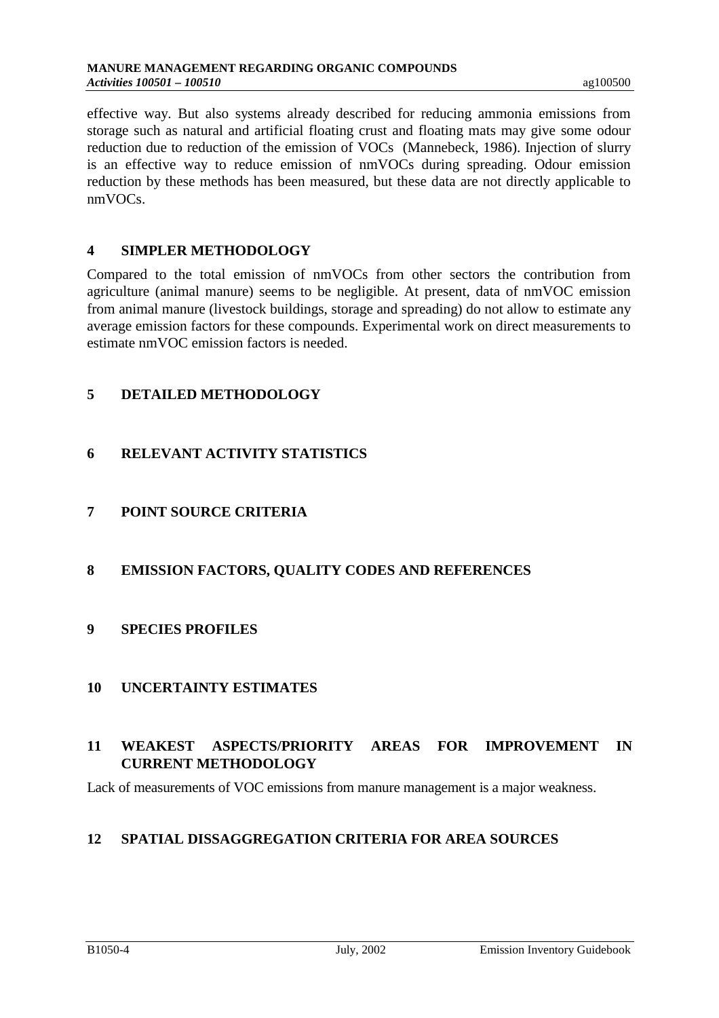effective way. But also systems already described for reducing ammonia emissions from storage such as natural and artificial floating crust and floating mats may give some odour reduction due to reduction of the emission of VOCs (Mannebeck, 1986). Injection of slurry is an effective way to reduce emission of nmVOCs during spreading. Odour emission reduction by these methods has been measured, but these data are not directly applicable to nmVOCs.

## **4 SIMPLER METHODOLOGY**

Compared to the total emission of nmVOCs from other sectors the contribution from agriculture (animal manure) seems to be negligible. At present, data of nmVOC emission from animal manure (livestock buildings, storage and spreading) do not allow to estimate any average emission factors for these compounds. Experimental work on direct measurements to estimate nmVOC emission factors is needed.

# **5 DETAILED METHODOLOGY**

# **6 RELEVANT ACTIVITY STATISTICS**

# **7 POINT SOURCE CRITERIA**

# **8 EMISSION FACTORS, QUALITY CODES AND REFERENCES**

# **9 SPECIES PROFILES**

# **10 UNCERTAINTY ESTIMATES**

# **11 WEAKEST ASPECTS/PRIORITY AREAS FOR IMPROVEMENT IN CURRENT METHODOLOGY**

Lack of measurements of VOC emissions from manure management is a major weakness.

# **12 SPATIAL DISSAGGREGATION CRITERIA FOR AREA SOURCES**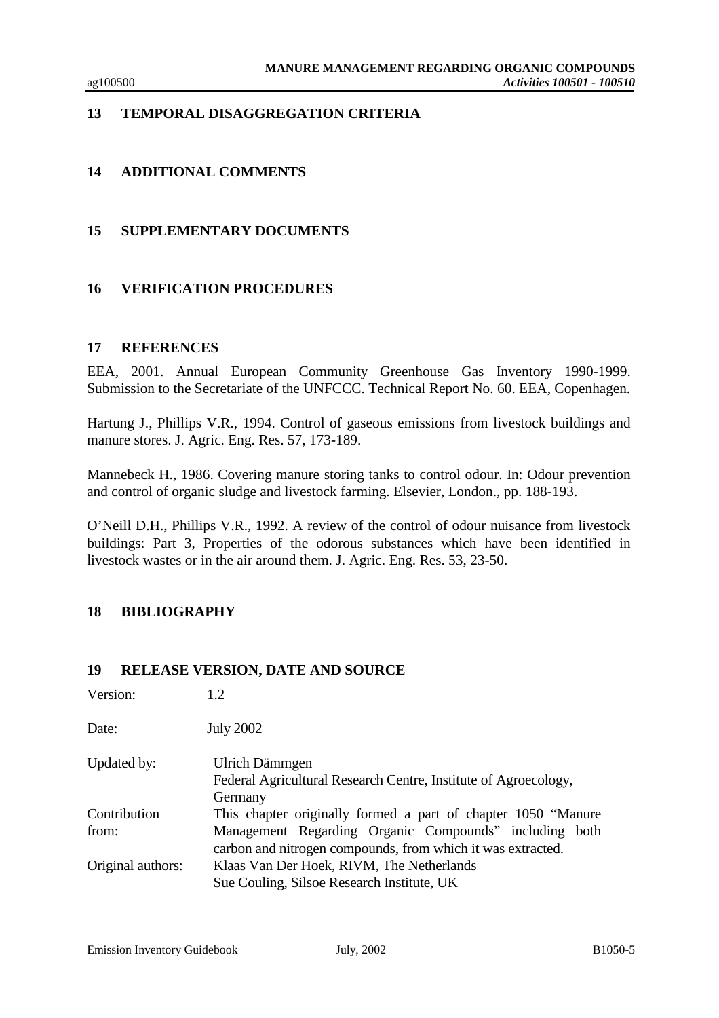# **13 TEMPORAL DISAGGREGATION CRITERIA**

# **14 ADDITIONAL COMMENTS**

#### **15 SUPPLEMENTARY DOCUMENTS**

#### **16 VERIFICATION PROCEDURES**

#### **17 REFERENCES**

EEA, 2001. Annual European Community Greenhouse Gas Inventory 1990-1999. Submission to the Secretariate of the UNFCCC. Technical Report No. 60. EEA, Copenhagen.

Hartung J., Phillips V.R., 1994. Control of gaseous emissions from livestock buildings and manure stores. J. Agric. Eng. Res. 57, 173-189.

Mannebeck H., 1986. Covering manure storing tanks to control odour. In: Odour prevention and control of organic sludge and livestock farming. Elsevier, London., pp. 188-193.

O'Neill D.H., Phillips V.R., 1992. A review of the control of odour nuisance from livestock buildings: Part 3, Properties of the odorous substances which have been identified in livestock wastes or in the air around them. J. Agric. Eng. Res. 53, 23-50.

#### **18 BIBLIOGRAPHY**

#### **19 RELEASE VERSION, DATE AND SOURCE**

| Version:          | 1.2                                                                                                                   |
|-------------------|-----------------------------------------------------------------------------------------------------------------------|
| Date:             | <b>July 2002</b>                                                                                                      |
| Updated by:       | Ulrich Dämmgen<br>Federal Agricultural Research Centre, Institute of Agroecology,<br>Germany                          |
| Contribution      | This chapter originally formed a part of chapter 1050 "Manure                                                         |
| from:             | Management Regarding Organic Compounds" including both<br>carbon and nitrogen compounds, from which it was extracted. |
| Original authors: | Klaas Van Der Hoek, RIVM, The Netherlands                                                                             |
|                   | Sue Couling, Silsoe Research Institute, UK                                                                            |